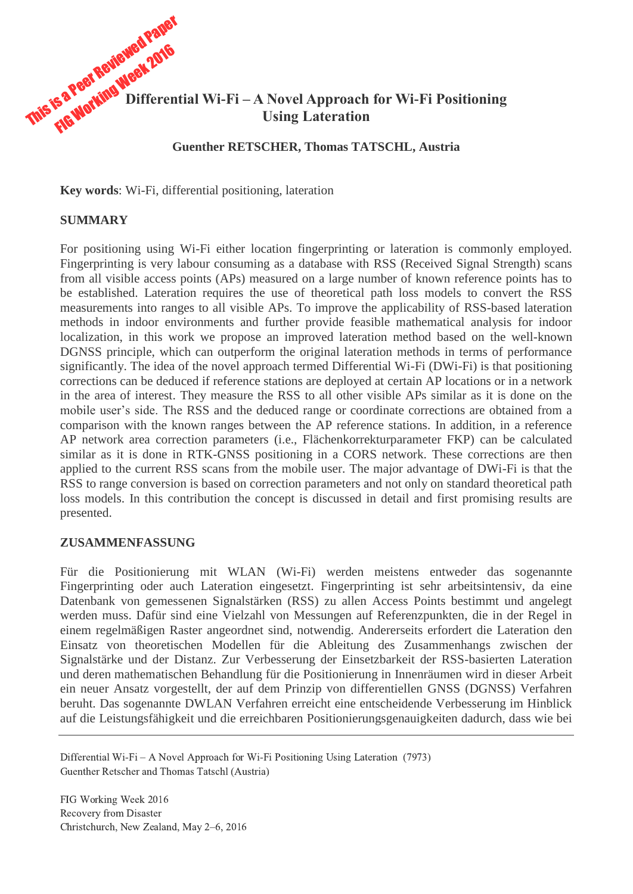

### **Guenther RETSCHER, Thomas TATSCHL, Austria**

**Key words**: Wi-Fi, differential positioning, lateration

#### **SUMMARY**

For positioning using Wi-Fi either location fingerprinting or lateration is commonly employed. Fingerprinting is very labour consuming as a database with RSS (Received Signal Strength) scans from all visible access points (APs) measured on a large number of known reference points has to be established. Lateration requires the use of theoretical path loss models to convert the RSS measurements into ranges to all visible APs. To improve the applicability of RSS-based lateration methods in indoor environments and further provide feasible mathematical analysis for indoor localization, in this work we propose an improved lateration method based on the well-known DGNSS principle, which can outperform the original lateration methods in terms of performance significantly. The idea of the novel approach termed Differential Wi-Fi (DWi-Fi) is that positioning corrections can be deduced if reference stations are deployed at certain AP locations or in a network in the area of interest. They measure the RSS to all other visible APs similar as it is done on the mobile user's side. The RSS and the deduced range or coordinate corrections are obtained from a comparison with the known ranges between the AP reference stations. In addition, in a reference AP network area correction parameters (i.e., Flächenkorrekturparameter FKP) can be calculated similar as it is done in RTK-GNSS positioning in a CORS network. These corrections are then applied to the current RSS scans from the mobile user. The major advantage of DWi-Fi is that the RSS to range conversion is based on correction parameters and not only on standard theoretical path loss models. In this contribution the concept is discussed in detail and first promising results are presented.

# **ZUSAMMENFASSUNG**

Für die Positionierung mit WLAN (Wi-Fi) werden meistens entweder das sogenannte Fingerprinting oder auch Lateration eingesetzt. Fingerprinting ist sehr arbeitsintensiv, da eine Datenbank von gemessenen Signalstärken (RSS) zu allen Access Points bestimmt und angelegt werden muss. Dafür sind eine Vielzahl von Messungen auf Referenzpunkten, die in der Regel in einem regelmäßigen Raster angeordnet sind, notwendig. Andererseits erfordert die Lateration den Einsatz von theoretischen Modellen für die Ableitung des Zusammenhangs zwischen der Signalstärke und der Distanz. Zur Verbesserung der Einsetzbarkeit der RSS-basierten Lateration und deren mathematischen Behandlung für die Positionierung in Innenräumen wird in dieser Arbeit ein neuer Ansatz vorgestellt, der auf dem Prinzip von differentiellen GNSS (DGNSS) Verfahren beruht. Das sogenannte DWLAN Verfahren erreicht eine entscheidende Verbesserung im Hinblick auf die Leistungsfähigkeit und die erreichbaren Positionierungsgenauigkeiten dadurch, dass wie bei

Differential Wi-Fi – A Novel Approach for Wi-Fi Positioning Using Lateration (7973) Guenther Retscher and Thomas Tatschl (Austria)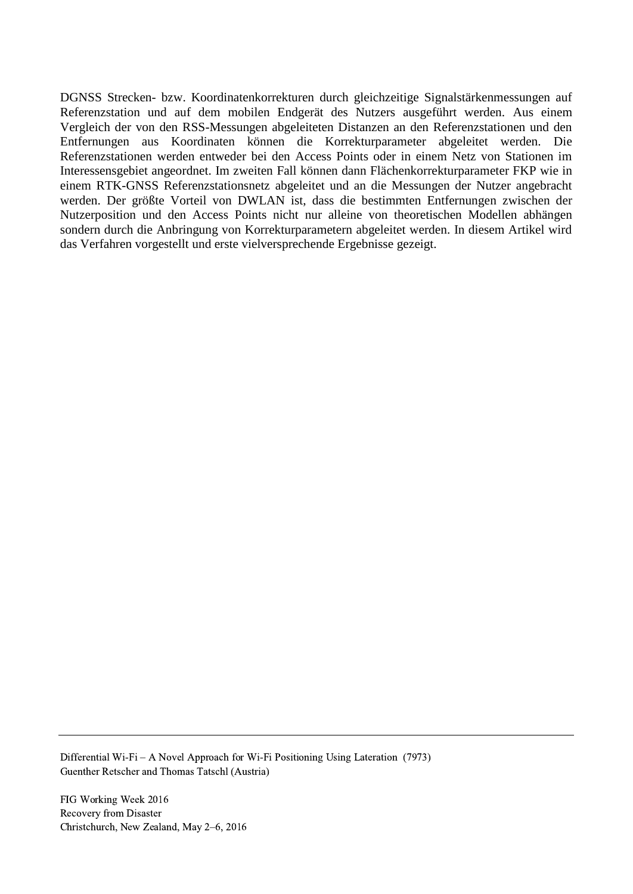DGNSS Strecken- bzw. Koordinatenkorrekturen durch gleichzeitige Signalstärkenmessungen auf Referenzstation und auf dem mobilen Endgerät des Nutzers ausgeführt werden. Aus einem Vergleich der von den RSS-Messungen abgeleiteten Distanzen an den Referenzstationen und den Entfernungen aus Koordinaten können die Korrekturparameter abgeleitet werden. Die Referenzstationen werden entweder bei den Access Points oder in einem Netz von Stationen im Interessensgebiet angeordnet. Im zweiten Fall können dann Flächenkorrekturparameter FKP wie in einem RTK-GNSS Referenzstationsnetz abgeleitet und an die Messungen der Nutzer angebracht werden. Der größte Vorteil von DWLAN ist, dass die bestimmten Entfernungen zwischen der Nutzerposition und den Access Points nicht nur alleine von theoretischen Modellen abhängen sondern durch die Anbringung von Korrekturparametern abgeleitet werden. In diesem Artikel wird das Verfahren vorgestellt und erste vielversprechende Ergebnisse gezeigt.

Differential Wi-Fi – A Novel Approach for Wi-Fi Positioning Using Lateration (7973) Guenther Retscher and Thomas Tatschl (Austria)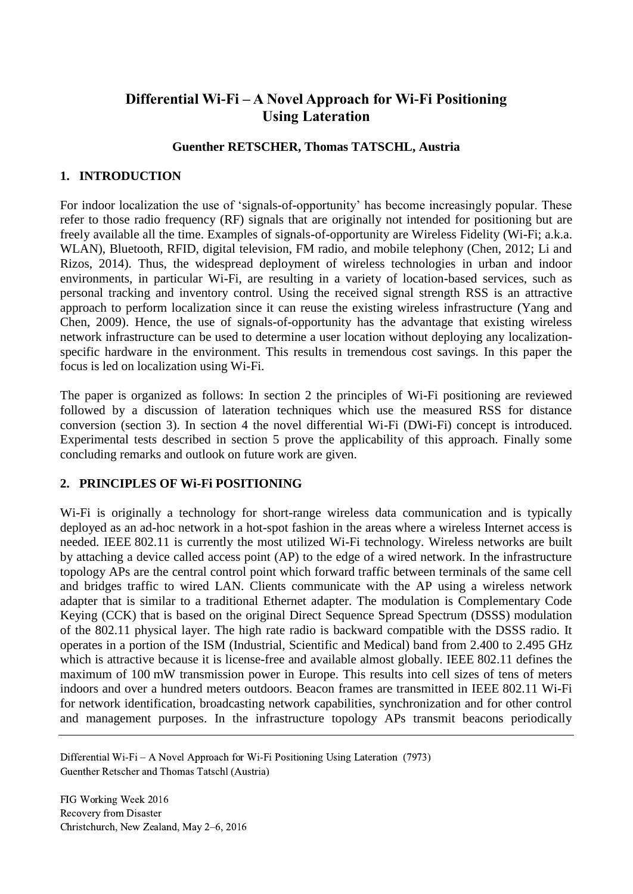# **Differential Wi-Fi – A Novel Approach for Wi-Fi Positioning Using Lateration**

# **Guenther RETSCHER, Thomas TATSCHL, Austria**

#### **1. INTRODUCTION**

For indoor localization the use of 'signals-of-opportunity' has become increasingly popular. These refer to those radio frequency (RF) signals that are originally not intended for positioning but are freely available all the time. Examples of signals-of-opportunity are Wireless Fidelity (Wi-Fi; a.k.a. WLAN), Bluetooth, RFID, digital television, FM radio, and mobile telephony (Chen, 2012; Li and Rizos, 2014). Thus, the widespread deployment of wireless technologies in urban and indoor environments, in particular Wi-Fi, are resulting in a variety of location-based services, such as personal tracking and inventory control. Using the received signal strength RSS is an attractive approach to perform localization since it can reuse the existing wireless infrastructure (Yang and Chen, 2009). Hence, the use of signals-of-opportunity has the advantage that existing wireless network infrastructure can be used to determine a user location without deploying any localizationspecific hardware in the environment. This results in tremendous cost savings. In this paper the focus is led on localization using Wi-Fi.

The paper is organized as follows: In section 2 the principles of Wi-Fi positioning are reviewed followed by a discussion of lateration techniques which use the measured RSS for distance conversion (section 3). In section 4 the novel differential Wi-Fi (DWi-Fi) concept is introduced. Experimental tests described in section 5 prove the applicability of this approach. Finally some concluding remarks and outlook on future work are given.

#### **2. PRINCIPLES OF Wi-Fi POSITIONING**

Wi-Fi is originally a technology for short-range wireless data communication and is typically deployed as an ad-hoc network in a hot-spot fashion in the areas where a wireless Internet access is needed. IEEE 802.11 is currently the most utilized Wi-Fi technology. Wireless networks are built by attaching a device called access point (AP) to the edge of a wired network. In the infrastructure topology APs are the central control point which forward traffic between terminals of the same cell and bridges traffic to wired LAN. Clients communicate with the AP using a wireless network adapter that is similar to a traditional Ethernet adapter. The modulation is Complementary Code Keying (CCK) that is based on the original Direct Sequence Spread Spectrum (DSSS) modulation of the 802.11 physical layer. The high rate radio is backward compatible with the DSSS radio. It operates in a portion of the ISM (Industrial, Scientific and Medical) band from 2.400 to 2.495 GHz which is attractive because it is license-free and available almost globally. IEEE 802.11 defines the maximum of 100 mW transmission power in Europe. This results into cell sizes of tens of meters indoors and over a hundred meters outdoors. Beacon frames are transmitted in IEEE 802.11 Wi-Fi for network identification, broadcasting network capabilities, synchronization and for other control and management purposes. In the infrastructure topology APs transmit beacons periodically

Differential Wi-Fi – A Novel Approach for Wi-Fi Positioning Using Lateration (7973) Guenther Retscher and Thomas Tatschl (Austria)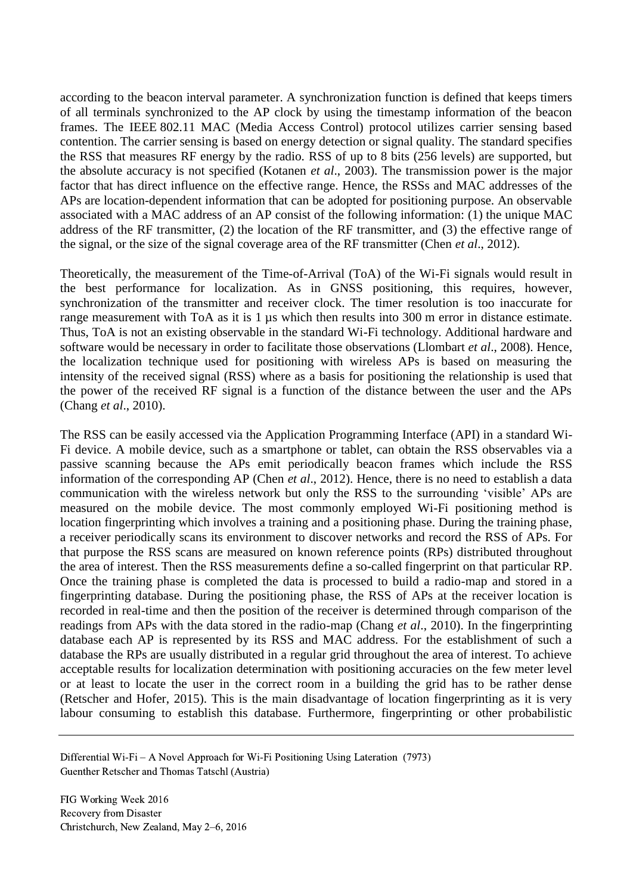according to the beacon interval parameter. A synchronization function is defined that keeps timers of all terminals synchronized to the AP clock by using the timestamp information of the beacon frames. The IEEE 802.11 MAC (Media Access Control) protocol utilizes carrier sensing based contention. The carrier sensing is based on energy detection or signal quality. The standard specifies the RSS that measures RF energy by the radio. RSS of up to 8 bits (256 levels) are supported, but the absolute accuracy is not specified (Kotanen *et al*., 2003). The transmission power is the major factor that has direct influence on the effective range. Hence, the RSSs and MAC addresses of the APs are location-dependent information that can be adopted for positioning purpose. An observable associated with a MAC address of an AP consist of the following information: (1) the unique MAC address of the RF transmitter, (2) the location of the RF transmitter, and (3) the effective range of the signal, or the size of the signal coverage area of the RF transmitter (Chen *et al*., 2012).

Theoretically, the measurement of the Time-of-Arrival (ToA) of the Wi-Fi signals would result in the best performance for localization. As in GNSS positioning, this requires, however, synchronization of the transmitter and receiver clock. The timer resolution is too inaccurate for range measurement with ToA as it is 1 µs which then results into 300 m error in distance estimate. Thus, ToA is not an existing observable in the standard Wi-Fi technology. Additional hardware and software would be necessary in order to facilitate those observations (Llombart *et al*., 2008). Hence, the localization technique used for positioning with wireless APs is based on measuring the intensity of the received signal (RSS) where as a basis for positioning the relationship is used that the power of the received RF signal is a function of the distance between the user and the APs (Chang *et al*., 2010).

The RSS can be easily accessed via the Application Programming Interface (API) in a standard Wi-Fi device. A mobile device, such as a smartphone or tablet, can obtain the RSS observables via a passive scanning because the APs emit periodically beacon frames which include the RSS information of the corresponding AP (Chen *et al*., 2012). Hence, there is no need to establish a data communication with the wireless network but only the RSS to the surrounding 'visible' APs are measured on the mobile device. The most commonly employed Wi-Fi positioning method is location fingerprinting which involves a training and a positioning phase. During the training phase, a receiver periodically scans its environment to discover networks and record the RSS of APs. For that purpose the RSS scans are measured on known reference points (RPs) distributed throughout the area of interest. Then the RSS measurements define a so-called fingerprint on that particular RP. Once the training phase is completed the data is processed to build a radio-map and stored in a fingerprinting database. During the positioning phase, the RSS of APs at the receiver location is recorded in real-time and then the position of the receiver is determined through comparison of the readings from APs with the data stored in the radio-map (Chang *et al*., 2010). In the fingerprinting database each AP is represented by its RSS and MAC address. For the establishment of such a database the RPs are usually distributed in a regular grid throughout the area of interest. To achieve acceptable results for localization determination with positioning accuracies on the few meter level or at least to locate the user in the correct room in a building the grid has to be rather dense (Retscher and Hofer, 2015). This is the main disadvantage of location fingerprinting as it is very labour consuming to establish this database. Furthermore, fingerprinting or other probabilistic

Differential Wi-Fi – A Novel Approach for Wi-Fi Positioning Using Lateration (7973) Guenther Retscher and Thomas Tatschl (Austria)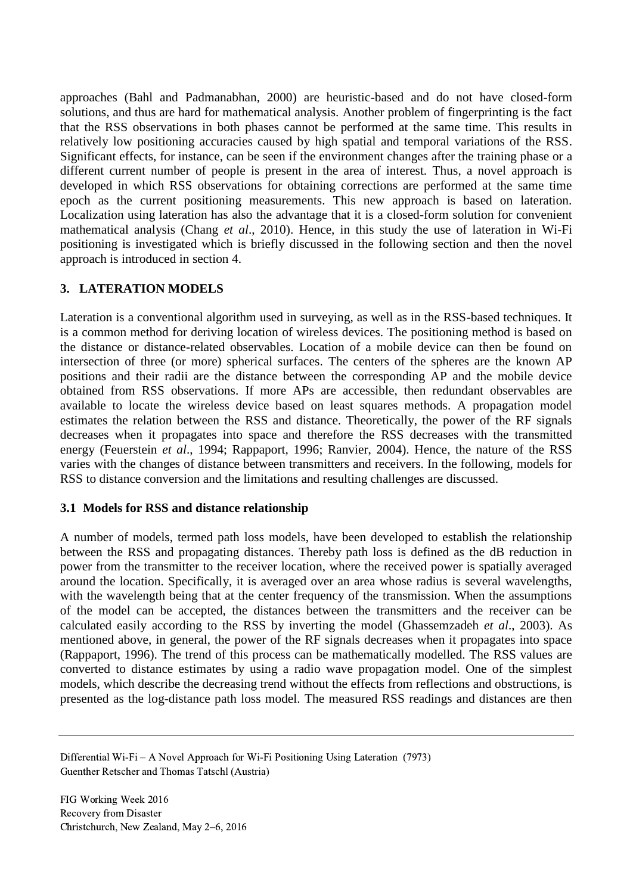approaches (Bahl and Padmanabhan, 2000) are heuristic-based and do not have closed-form solutions, and thus are hard for mathematical analysis. Another problem of fingerprinting is the fact that the RSS observations in both phases cannot be performed at the same time. This results in relatively low positioning accuracies caused by high spatial and temporal variations of the RSS. Significant effects, for instance, can be seen if the environment changes after the training phase or a different current number of people is present in the area of interest. Thus, a novel approach is developed in which RSS observations for obtaining corrections are performed at the same time epoch as the current positioning measurements. This new approach is based on lateration. Localization using lateration has also the advantage that it is a closed-form solution for convenient mathematical analysis (Chang *et al*., 2010). Hence, in this study the use of lateration in Wi-Fi positioning is investigated which is briefly discussed in the following section and then the novel approach is introduced in section 4.

# **3. LATERATION MODELS**

Lateration is a conventional algorithm used in surveying, as well as in the RSS-based techniques. It is a common method for deriving location of wireless devices. The positioning method is based on the distance or distance-related observables. Location of a mobile device can then be found on intersection of three (or more) spherical surfaces. The centers of the spheres are the known AP positions and their radii are the distance between the corresponding AP and the mobile device obtained from RSS observations. If more APs are accessible, then redundant observables are available to locate the wireless device based on least squares methods. A propagation model estimates the relation between the RSS and distance. Theoretically, the power of the RF signals decreases when it propagates into space and therefore the RSS decreases with the transmitted energy (Feuerstein *et al*., 1994; Rappaport, 1996; Ranvier, 2004). Hence, the nature of the RSS varies with the changes of distance between transmitters and receivers. In the following, models for RSS to distance conversion and the limitations and resulting challenges are discussed.

# **3.1 Models for RSS and distance relationship**

A number of models, termed path loss models, have been developed to establish the relationship between the RSS and propagating distances. Thereby path loss is defined as the dB reduction in power from the transmitter to the receiver location, where the received power is spatially averaged around the location. Specifically, it is averaged over an area whose radius is several wavelengths, with the wavelength being that at the center frequency of the transmission. When the assumptions of the model can be accepted, the distances between the transmitters and the receiver can be calculated easily according to the RSS by inverting the model (Ghassemzadeh *et al*., 2003). As mentioned above, in general, the power of the RF signals decreases when it propagates into space (Rappaport, 1996). The trend of this process can be mathematically modelled. The RSS values are converted to distance estimates by using a radio wave propagation model. One of the simplest models, which describe the decreasing trend without the effects from reflections and obstructions, is presented as the log-distance path loss model. The measured RSS readings and distances are then

Differential Wi-Fi – A Novel Approach for Wi-Fi Positioning Using Lateration (7973) Guenther Retscher and Thomas Tatschl (Austria)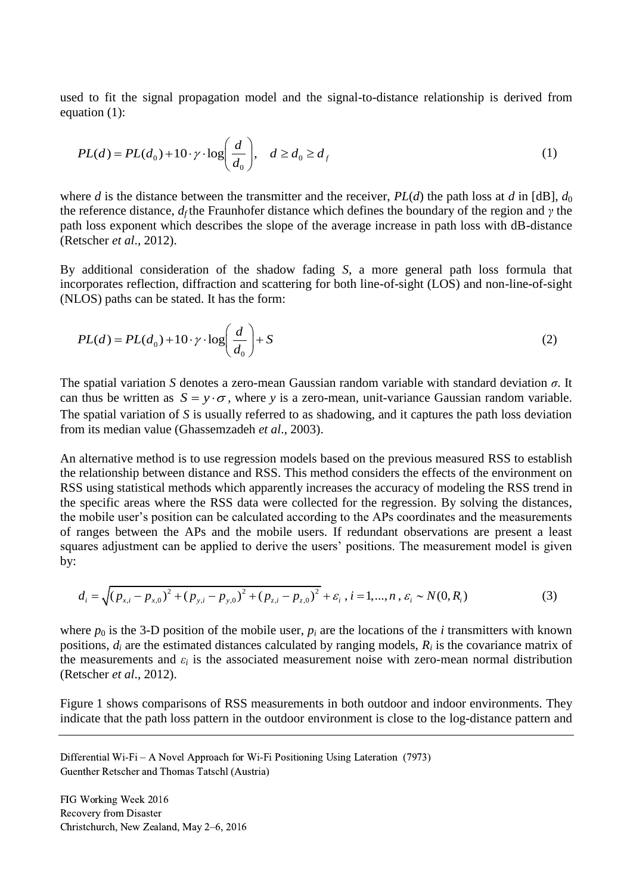used to fit the signal propagation model and the signal-to-distance relationship is derived from equation (1):

$$
PL(d) = PL(d_0) + 10 \cdot \gamma \cdot \log\left(\frac{d}{d_0}\right), \quad d \ge d_0 \ge d_f
$$
 (1)

where *d* is the distance between the transmitter and the receiver,  $PL(d)$  the path loss at *d* in [dB],  $d_0$ the reference distance, *d<sup>f</sup>* the Fraunhofer distance which defines the boundary of the region and *γ* the path loss exponent which describes the slope of the average increase in path loss with dB-distance (Retscher *et al*., 2012).

By additional consideration of the shadow fading *S*, a more general path loss formula that incorporates reflection, diffraction and scattering for both line-of-sight (LOS) and non-line-of-sight (NLOS) paths can be stated. It has the form:

$$
PL(d) = PL(d_0) + 10 \cdot \gamma \cdot \log\left(\frac{d}{d_0}\right) + S \tag{2}
$$

The spatial variation *S* denotes a zero-mean Gaussian random variable with standard deviation *σ*. It can thus be written as  $S = y \cdot \sigma$ , where *y* is a zero-mean, unit-variance Gaussian random variable. The spatial variation of *S* is usually referred to as shadowing, and it captures the path loss deviation from its median value (Ghassemzadeh *et al*., 2003).

An alternative method is to use regression models based on the previous measured RSS to establish the relationship between distance and RSS. This method considers the effects of the environment on RSS using statistical methods which apparently increases the accuracy of modeling the RSS trend in the specific areas where the RSS data were collected for the regression. By solving the distances, the mobile user's position can be calculated according to the APs coordinates and the measurements of ranges between the APs and the mobile users. If redundant observations are present a least squares adjustment can be applied to derive the users' positions. The measurement model is given<br>by:<br> $d_i = \sqrt{(p_{x,i} - p_{x,0})^2 + (p_{y,i} - p_{y,0})^2 + (p_{z,i} - p_{z,0})^2} + \varepsilon_i, i = 1,...,n, \varepsilon_i \sim N(0, R_i)$  (3) by:

$$
d_i = \sqrt{(p_{x,i} - p_{x,0})^2 + (p_{y,i} - p_{y,0})^2 + (p_{z,i} - p_{z,0})^2} + \varepsilon_i, i = 1,...,n, \varepsilon_i \sim N(0, R_i)
$$
(3)

where  $p_0$  is the 3-D position of the mobile user,  $p_i$  are the locations of the *i* transmitters with known positions,  $d_i$  are the estimated distances calculated by ranging models,  $R_i$  is the covariance matrix of the measurements and  $\varepsilon_i$  is the associated measurement noise with zero-mean normal distribution (Retscher *et al*., 2012).

Figure 1 shows comparisons of RSS measurements in both outdoor and indoor environments. They indicate that the path loss pattern in the outdoor environment is close to the log-distance pattern and

Differential Wi-Fi – A Novel Approach for Wi-Fi Positioning Using Lateration (7973) Guenther Retscher and Thomas Tatschl (Austria)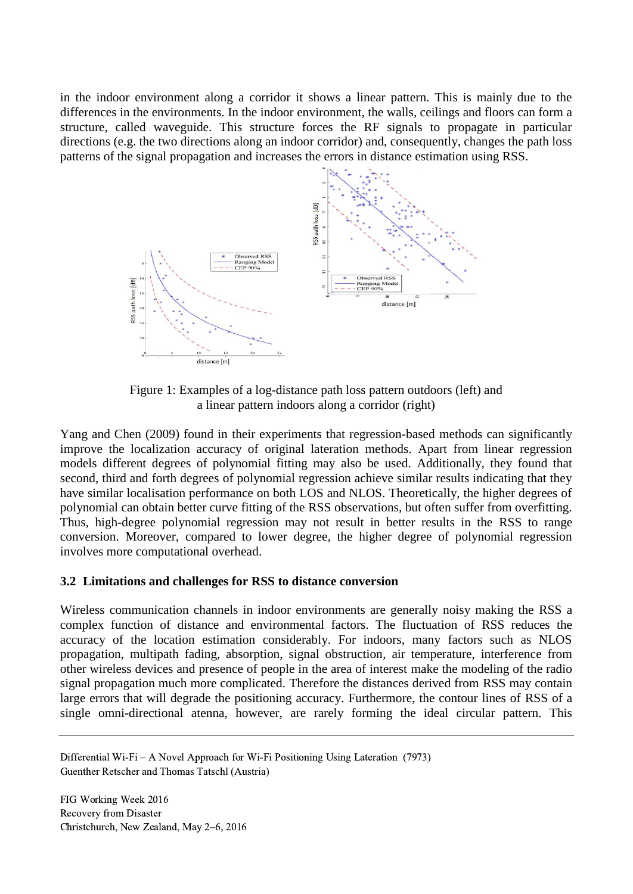in the indoor environment along a corridor it shows a linear pattern. This is mainly due to the differences in the environments. In the indoor environment, the walls, ceilings and floors can form a structure, called waveguide. This structure forces the RF signals to propagate in particular directions (e.g. the two directions along an indoor corridor) and, consequently, changes the path loss patterns of the signal propagation and increases the errors in distance estimation using RSS.



Figure 1: Examples of a log-distance path loss pattern outdoors (left) and a linear pattern indoors along a corridor (right)

Yang and Chen (2009) found in their experiments that regression-based methods can significantly improve the localization accuracy of original lateration methods. Apart from linear regression models different degrees of polynomial fitting may also be used. Additionally, they found that second, third and forth degrees of polynomial regression achieve similar results indicating that they have similar localisation performance on both LOS and NLOS. Theoretically, the higher degrees of polynomial can obtain better curve fitting of the RSS observations, but often suffer from overfitting. Thus, high-degree polynomial regression may not result in better results in the RSS to range conversion. Moreover, compared to lower degree, the higher degree of polynomial regression involves more computational overhead.

# **3.2 Limitations and challenges for RSS to distance conversion**

Wireless communication channels in indoor environments are generally noisy making the RSS a complex function of distance and environmental factors. The fluctuation of RSS reduces the accuracy of the location estimation considerably. For indoors, many factors such as NLOS propagation, multipath fading, absorption, signal obstruction, air temperature, interference from other wireless devices and presence of people in the area of interest make the modeling of the radio signal propagation much more complicated. Therefore the distances derived from RSS may contain large errors that will degrade the positioning accuracy. Furthermore, the contour lines of RSS of a single omni-directional atenna, however, are rarely forming the ideal circular pattern. This

Differential Wi-Fi – A Novel Approach for Wi-Fi Positioning Using Lateration (7973) Guenther Retscher and Thomas Tatschl (Austria)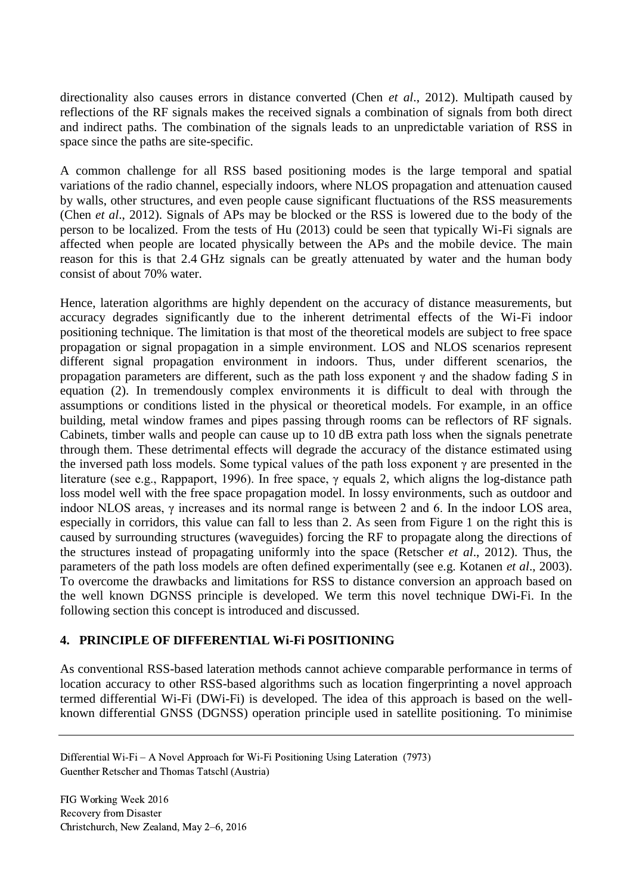directionality also causes errors in distance converted (Chen *et al*., 2012). Multipath caused by reflections of the RF signals makes the received signals a combination of signals from both direct and indirect paths. The combination of the signals leads to an unpredictable variation of RSS in space since the paths are site-specific.

A common challenge for all RSS based positioning modes is the large temporal and spatial variations of the radio channel, especially indoors, where NLOS propagation and attenuation caused by walls, other structures, and even people cause significant fluctuations of the RSS measurements (Chen *et al*., 2012). Signals of APs may be blocked or the RSS is lowered due to the body of the person to be localized. From the tests of Hu (2013) could be seen that typically Wi-Fi signals are affected when people are located physically between the APs and the mobile device. The main reason for this is that 2.4 GHz signals can be greatly attenuated by water and the human body consist of about 70% water.

Hence, lateration algorithms are highly dependent on the accuracy of distance measurements, but accuracy degrades significantly due to the inherent detrimental effects of the Wi-Fi indoor positioning technique. The limitation is that most of the theoretical models are subject to free space propagation or signal propagation in a simple environment. LOS and NLOS scenarios represent different signal propagation environment in indoors. Thus, under different scenarios, the propagation parameters are different, such as the path loss exponent γ and the shadow fading *S* in equation (2). In tremendously complex environments it is difficult to deal with through the assumptions or conditions listed in the physical or theoretical models. For example, in an office building, metal window frames and pipes passing through rooms can be reflectors of RF signals. Cabinets, timber walls and people can cause up to 10 dB extra path loss when the signals penetrate through them. These detrimental effects will degrade the accuracy of the distance estimated using the inversed path loss models. Some typical values of the path loss exponent  $\gamma$  are presented in the literature (see e.g., Rappaport, 1996). In free space, γ equals 2, which aligns the log-distance path loss model well with the free space propagation model. In lossy environments, such as outdoor and indoor NLOS areas, γ increases and its normal range is between 2 and 6. In the indoor LOS area, especially in corridors, this value can fall to less than 2. As seen from Figure 1 on the right this is caused by surrounding structures (waveguides) forcing the RF to propagate along the directions of the structures instead of propagating uniformly into the space (Retscher *et al*., 2012). Thus, the parameters of the path loss models are often defined experimentally (see e.g. Kotanen *et al*., 2003). To overcome the drawbacks and limitations for RSS to distance conversion an approach based on the well known DGNSS principle is developed. We term this novel technique DWi-Fi. In the following section this concept is introduced and discussed.

# **4. PRINCIPLE OF DIFFERENTIAL Wi-Fi POSITIONING**

As conventional RSS-based lateration methods cannot achieve comparable performance in terms of location accuracy to other RSS-based algorithms such as location fingerprinting a novel approach termed differential Wi-Fi (DWi-Fi) is developed. The idea of this approach is based on the wellknown differential GNSS (DGNSS) operation principle used in satellite positioning. To minimise

Differential Wi-Fi – A Novel Approach for Wi-Fi Positioning Using Lateration (7973) Guenther Retscher and Thomas Tatschl (Austria)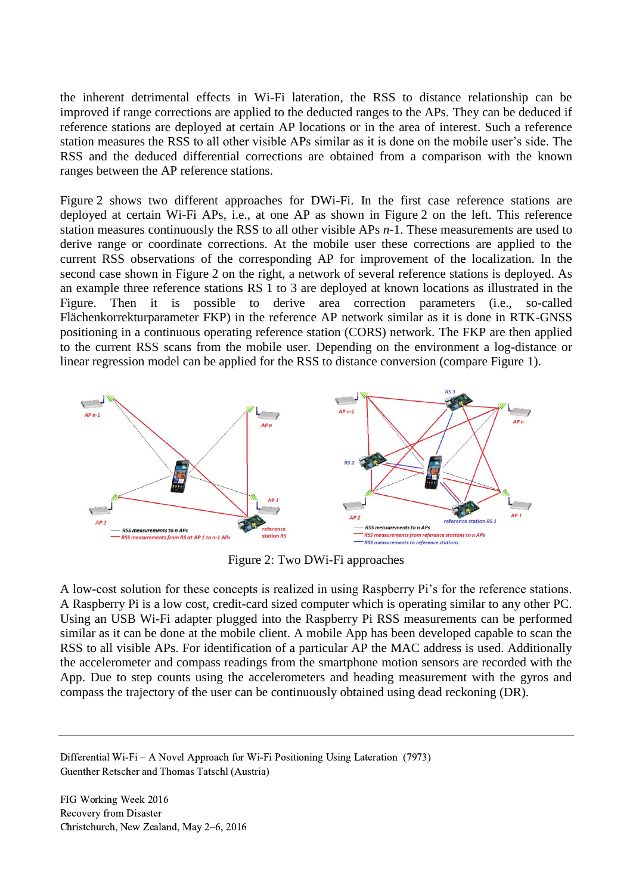the inherent detrimental effects in Wi-Fi lateration, the RSS to distance relationship can be improved if range corrections are applied to the deducted ranges to the APs. They can be deduced if reference stations are deployed at certain AP locations or in the area of interest. Such a reference station measures the RSS to all other visible APs similar as it is done on the mobile user's side. The RSS and the deduced differential corrections are obtained from a comparison with the known ranges between the AP reference stations.

Figure 2 shows two different approaches for DWi-Fi. In the first case reference stations are deployed at certain Wi-Fi APs, i.e., at one AP as shown in Figure 2 on the left. This reference station measures continuously the RSS to all other visible APs *n*-1. These measurements are used to derive range or coordinate corrections. At the mobile user these corrections are applied to the current RSS observations of the corresponding AP for improvement of the localization. In the second case shown in Figure 2 on the right, a network of several reference stations is deployed. As an example three reference stations RS 1 to 3 are deployed at known locations as illustrated in the Figure. Then it is possible to derive area correction parameters (i.e., so-called Flächenkorrekturparameter FKP) in the reference AP network similar as it is done in RTK-GNSS positioning in a continuous operating reference station (CORS) network. The FKP are then applied to the current RSS scans from the mobile user. Depending on the environment a log-distance or linear regression model can be applied for the RSS to distance conversion (compare Figure 1).



Figure 2: Two DWi-Fi approaches

A low-cost solution for these concepts is realized in using Raspberry Pi's for the reference stations. A Raspberry Pi is a low cost, credit-card sized computer which is operating similar to any other PC. Using an USB Wi-Fi adapter plugged into the Raspberry Pi RSS measurements can be performed similar as it can be done at the mobile client. A mobile App has been developed capable to scan the RSS to all visible APs. For identification of a particular AP the MAC address is used. Additionally the accelerometer and compass readings from the smartphone motion sensors are recorded with the App. Due to step counts using the accelerometers and heading measurement with the gyros and compass the trajectory of the user can be continuously obtained using dead reckoning (DR).

Differential Wi-Fi – A Novel Approach for Wi-Fi Positioning Using Lateration (7973) Guenther Retscher and Thomas Tatschl (Austria)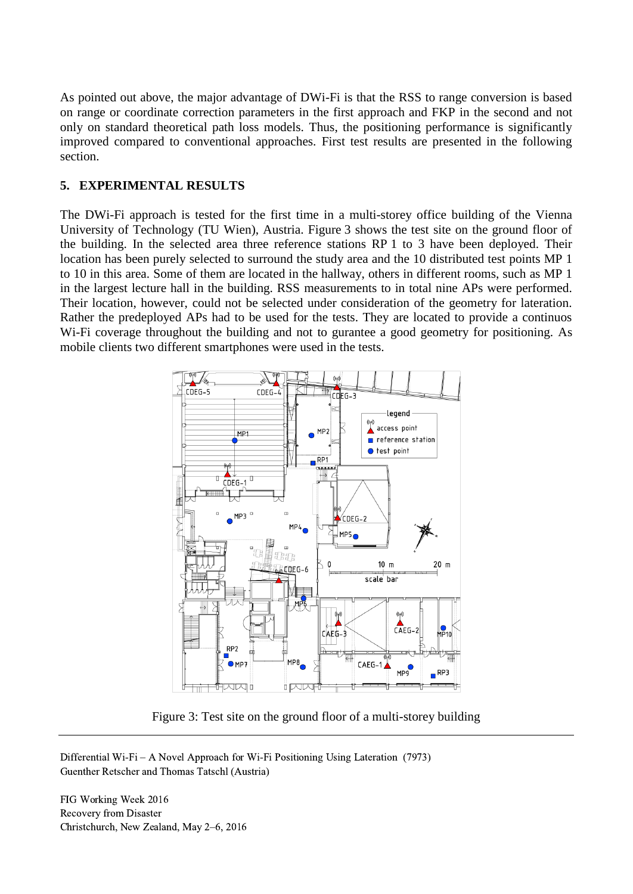As pointed out above, the major advantage of DWi-Fi is that the RSS to range conversion is based on range or coordinate correction parameters in the first approach and FKP in the second and not only on standard theoretical path loss models. Thus, the positioning performance is significantly improved compared to conventional approaches. First test results are presented in the following section.

#### **5. EXPERIMENTAL RESULTS**

The DWi-Fi approach is tested for the first time in a multi-storey office building of the Vienna University of Technology (TU Wien), Austria. Figure 3 shows the test site on the ground floor of the building. In the selected area three reference stations RP 1 to 3 have been deployed. Their location has been purely selected to surround the study area and the 10 distributed test points MP 1 to 10 in this area. Some of them are located in the hallway, others in different rooms, such as MP 1 in the largest lecture hall in the building. RSS measurements to in total nine APs were performed. Their location, however, could not be selected under consideration of the geometry for lateration. Rather the predeployed APs had to be used for the tests. They are located to provide a continuos Wi-Fi coverage throughout the building and not to gurantee a good geometry for positioning. As mobile clients two different smartphones were used in the tests.



Figure 3: Test site on the ground floor of a multi-storey building

Differential Wi-Fi – A Novel Approach for Wi-Fi Positioning Using Lateration (7973) Guenther Retscher and Thomas Tatschl (Austria)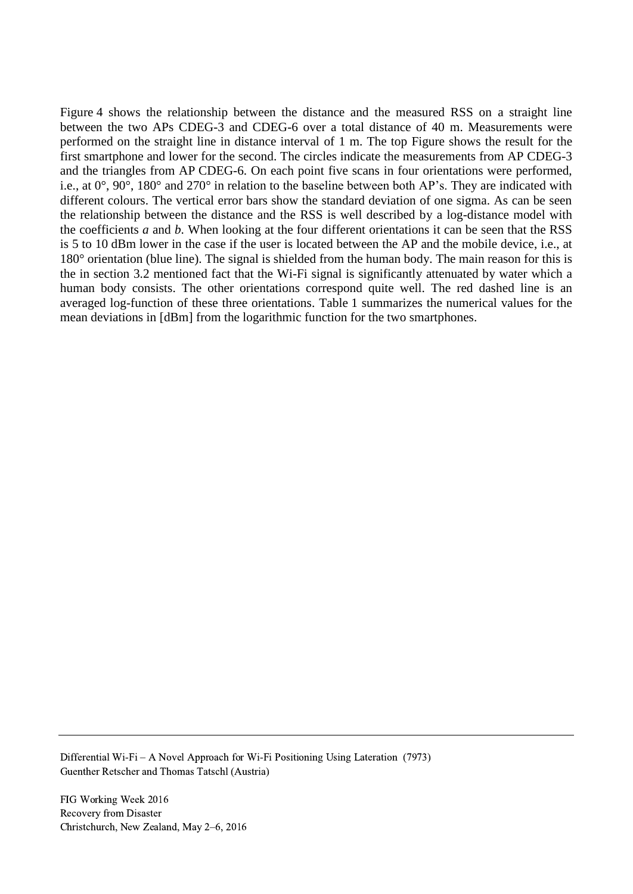Figure 4 shows the relationship between the distance and the measured RSS on a straight line between the two APs CDEG-3 and CDEG-6 over a total distance of 40 m. Measurements were performed on the straight line in distance interval of 1 m. The top Figure shows the result for the first smartphone and lower for the second. The circles indicate the measurements from AP CDEG-3 and the triangles from AP CDEG-6. On each point five scans in four orientations were performed, i.e., at 0°, 90°, 180° and 270° in relation to the baseline between both AP's. They are indicated with different colours. The vertical error bars show the standard deviation of one sigma. As can be seen the relationship between the distance and the RSS is well described by a log-distance model with the coefficients *a* and *b*. When looking at the four different orientations it can be seen that the RSS is 5 to 10 dBm lower in the case if the user is located between the AP and the mobile device, i.e., at 180° orientation (blue line). The signal is shielded from the human body. The main reason for this is the in section 3.2 mentioned fact that the Wi-Fi signal is significantly attenuated by water which a human body consists. The other orientations correspond quite well. The red dashed line is an averaged log-function of these three orientations. Table 1 summarizes the numerical values for the mean deviations in [dBm] from the logarithmic function for the two smartphones.

Differential Wi-Fi – A Novel Approach for Wi-Fi Positioning Using Lateration (7973) Guenther Retscher and Thomas Tatschl (Austria)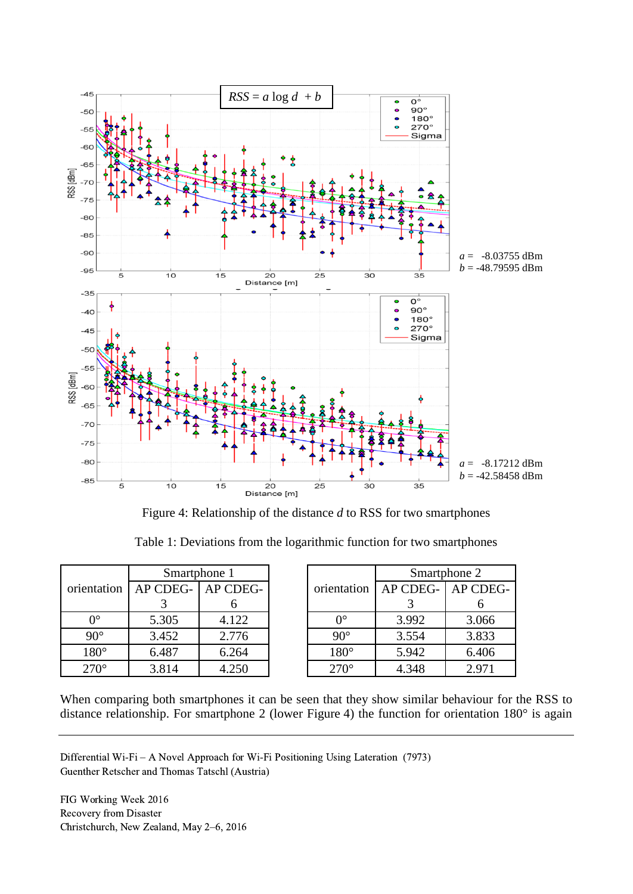

Figure 4: Relationship of the distance *d* to RSS for two smartphones

|  |  |  |  | Table 1: Deviations from the logarithmic function for two smartphones |  |  |  |  |  |
|--|--|--|--|-----------------------------------------------------------------------|--|--|--|--|--|
|  |  |  |  |                                                                       |  |  |  |  |  |

|             | Smartphone 1 |          |  |  |  |  |  |
|-------------|--------------|----------|--|--|--|--|--|
| orientation | AP CDEG-     | AP CDEG- |  |  |  |  |  |
|             |              |          |  |  |  |  |  |
| ∩∘          | 5.305        | 4.122    |  |  |  |  |  |
| $90^\circ$  | 3.452        | 2.776    |  |  |  |  |  |
| $180^\circ$ | 6.487        | 6.264    |  |  |  |  |  |
| $270^\circ$ | 3.814        | 4.250    |  |  |  |  |  |

|             | Smartphone 2 |          |  |  |  |  |  |
|-------------|--------------|----------|--|--|--|--|--|
| orientation | AP CDEG-     | AP CDEG- |  |  |  |  |  |
|             |              |          |  |  |  |  |  |
| ∩∘          | 3.992        | 3.066    |  |  |  |  |  |
| $90^\circ$  | 3.554        | 3.833    |  |  |  |  |  |
| $180^\circ$ | 5.942        | 6.406    |  |  |  |  |  |
| $270^\circ$ | 4.348        | 2.971    |  |  |  |  |  |

When comparing both smartphones it can be seen that they show similar behaviour for the RSS to distance relationship. For smartphone 2 (lower Figure 4) the function for orientation 180° is again

Differential Wi-Fi – A Novel Approach for Wi-Fi Positioning Using Lateration (7973) Guenther Retscher and Thomas Tatschl (Austria)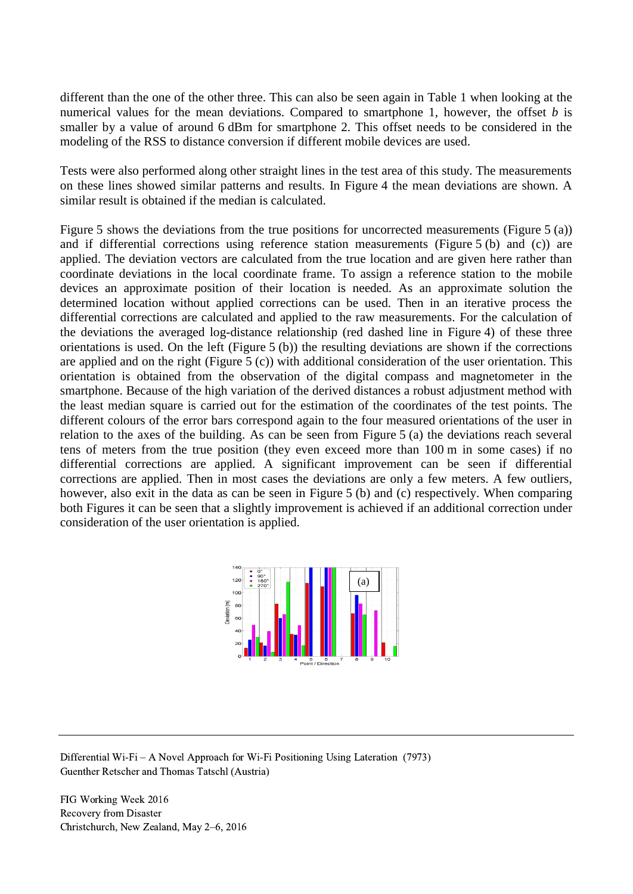different than the one of the other three. This can also be seen again in Table 1 when looking at the numerical values for the mean deviations. Compared to smartphone 1, however, the offset *b* is smaller by a value of around 6 dBm for smartphone 2. This offset needs to be considered in the modeling of the RSS to distance conversion if different mobile devices are used.

Tests were also performed along other straight lines in the test area of this study. The measurements on these lines showed similar patterns and results. In Figure 4 the mean deviations are shown. A similar result is obtained if the median is calculated.

Figure 5 shows the deviations from the true positions for uncorrected measurements (Figure 5 (a)) and if differential corrections using reference station measurements (Figure 5 (b) and (c)) are applied. The deviation vectors are calculated from the true location and are given here rather than coordinate deviations in the local coordinate frame. To assign a reference station to the mobile devices an approximate position of their location is needed. As an approximate solution the determined location without applied corrections can be used. Then in an iterative process the differential corrections are calculated and applied to the raw measurements. For the calculation of the deviations the averaged log-distance relationship (red dashed line in Figure 4) of these three orientations is used. On the left (Figure 5 (b)) the resulting deviations are shown if the corrections are applied and on the right (Figure 5 (c)) with additional consideration of the user orientation. This orientation is obtained from the observation of the digital compass and magnetometer in the smartphone. Because of the high variation of the derived distances a robust adjustment method with the least median square is carried out for the estimation of the coordinates of the test points. The different colours of the error bars correspond again to the four measured orientations of the user in relation to the axes of the building. As can be seen from Figure 5 (a) the deviations reach several tens of meters from the true position (they even exceed more than 100 m in some cases) if no differential corrections are applied. A significant improvement can be seen if differential corrections are applied. Then in most cases the deviations are only a few meters. A few outliers, however, also exit in the data as can be seen in Figure 5 (b) and (c) respectively. When comparing both Figures it can be seen that a slightly improvement is achieved if an additional correction under consideration of the user orientation is applied.



Differential Wi-Fi – A Novel Approach for Wi-Fi Positioning Using Lateration (7973) Guenther Retscher and Thomas Tatschl (Austria)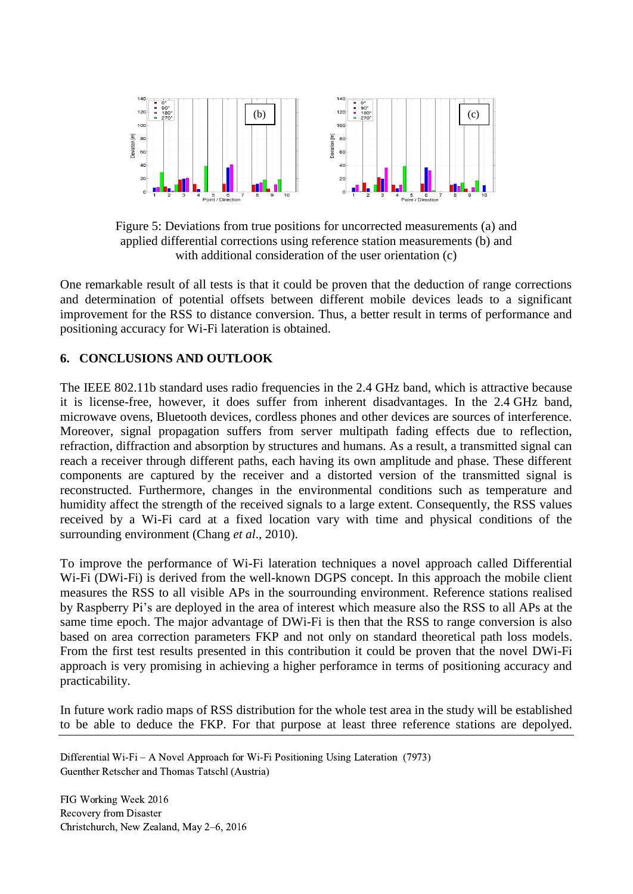

Figure 5: Deviations from true positions for uncorrected measurements (a) and applied differential corrections using reference station measurements (b) and with additional consideration of the user orientation (c)

One remarkable result of all tests is that it could be proven that the deduction of range corrections and determination of potential offsets between different mobile devices leads to a significant improvement for the RSS to distance conversion. Thus, a better result in terms of performance and positioning accuracy for Wi-Fi lateration is obtained.

#### **6. CONCLUSIONS AND OUTLOOK**

The IEEE 802.11b standard uses radio frequencies in the 2.4 GHz band, which is attractive because it is license-free, however, it does suffer from inherent disadvantages. In the 2.4 GHz band, microwave ovens, Bluetooth devices, cordless phones and other devices are sources of interference. Moreover, signal propagation suffers from server multipath fading effects due to reflection, refraction, diffraction and absorption by structures and humans. As a result, a transmitted signal can reach a receiver through different paths, each having its own amplitude and phase. These different components are captured by the receiver and a distorted version of the transmitted signal is reconstructed. Furthermore, changes in the environmental conditions such as temperature and humidity affect the strength of the received signals to a large extent. Consequently, the RSS values received by a Wi-Fi card at a fixed location vary with time and physical conditions of the surrounding environment (Chang *et al*., 2010).

To improve the performance of Wi-Fi lateration techniques a novel approach called Differential Wi-Fi (DWi-Fi) is derived from the well-known DGPS concept. In this approach the mobile client measures the RSS to all visible APs in the sourrounding environment. Reference stations realised by Raspberry Pi's are deployed in the area of interest which measure also the RSS to all APs at the same time epoch. The major advantage of DWi-Fi is then that the RSS to range conversion is also based on area correction parameters FKP and not only on standard theoretical path loss models. From the first test results presented in this contribution it could be proven that the novel DWi-Fi approach is very promising in achieving a higher perforamce in terms of positioning accuracy and practicability.

In future work radio maps of RSS distribution for the whole test area in the study will be established to be able to deduce the FKP. For that purpose at least three reference stations are depolyed.

Differential Wi-Fi – A Novel Approach for Wi-Fi Positioning Using Lateration (7973) Guenther Retscher and Thomas Tatschl (Austria)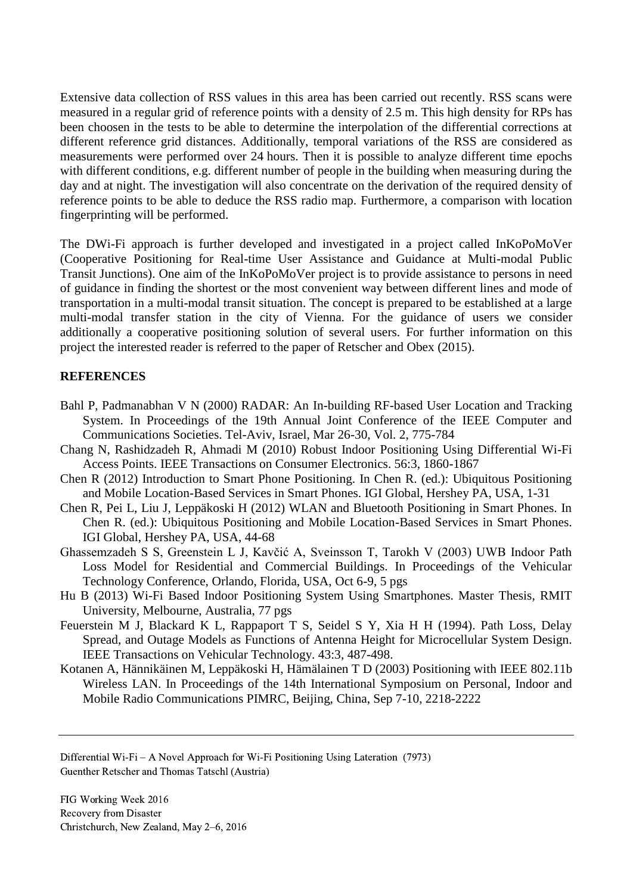Extensive data collection of RSS values in this area has been carried out recently. RSS scans were measured in a regular grid of reference points with a density of 2.5 m. This high density for RPs has been choosen in the tests to be able to determine the interpolation of the differential corrections at different reference grid distances. Additionally, temporal variations of the RSS are considered as measurements were performed over 24 hours. Then it is possible to analyze different time epochs with different conditions, e.g. different number of people in the building when measuring during the day and at night. The investigation will also concentrate on the derivation of the required density of reference points to be able to deduce the RSS radio map. Furthermore, a comparison with location fingerprinting will be performed.

The DWi-Fi approach is further developed and investigated in a project called InKoPoMoVer (Cooperative Positioning for Real-time User Assistance and Guidance at Multi-modal Public Transit Junctions). One aim of the InKoPoMoVer project is to provide assistance to persons in need of guidance in finding the shortest or the most convenient way between different lines and mode of transportation in a multi-modal transit situation. The concept is prepared to be established at a large multi-modal transfer station in the city of Vienna. For the guidance of users we consider additionally a cooperative positioning solution of several users. For further information on this project the interested reader is referred to the paper of Retscher and Obex (2015).

# **REFERENCES**

- Bahl P, Padmanabhan V N (2000) RADAR: An In-building RF-based User Location and Tracking System. In Proceedings of the 19th Annual Joint Conference of the IEEE Computer and Communications Societies. Tel-Aviv, Israel, Mar 26-30, Vol. 2, 775-784
- Chang N, Rashidzadeh R, Ahmadi M (2010) Robust Indoor Positioning Using Differential Wi-Fi Access Points. IEEE Transactions on Consumer Electronics. 56:3, 1860-1867
- Chen R (2012) Introduction to Smart Phone Positioning. In Chen R. (ed.): Ubiquitous Positioning and Mobile Location-Based Services in Smart Phones. IGI Global, Hershey PA, USA, 1-31
- Chen R, Pei L, Liu J, Leppäkoski H (2012) WLAN and Bluetooth Positioning in Smart Phones. In Chen R. (ed.): Ubiquitous Positioning and Mobile Location-Based Services in Smart Phones. IGI Global, Hershey PA, USA, 44-68
- Ghassemzadeh S S, Greenstein L J, Kavčić A, Sveinsson T, Tarokh V (2003) UWB Indoor Path Loss Model for Residential and Commercial Buildings. In Proceedings of the Vehicular Technology Conference, Orlando, Florida, USA, Oct 6-9, 5 pgs
- Hu B (2013) Wi-Fi Based Indoor Positioning System Using Smartphones. Master Thesis, RMIT University, Melbourne, Australia, 77 pgs
- Feuerstein M J, Blackard K L, Rappaport T S, Seidel S Y, Xia H H (1994). Path Loss, Delay Spread, and Outage Models as Functions of Antenna Height for Microcellular System Design. IEEE Transactions on Vehicular Technology. 43:3, 487-498.
- Kotanen A, Hännikäinen M, Leppäkoski H, Hämälainen T D (2003) Positioning with IEEE 802.11b Wireless LAN. In Proceedings of the 14th International Symposium on Personal, Indoor and Mobile Radio Communications PIMRC, Beijing, China, Sep 7-10, 2218-2222

Differential Wi-Fi – A Novel Approach for Wi-Fi Positioning Using Lateration (7973) Guenther Retscher and Thomas Tatschl (Austria)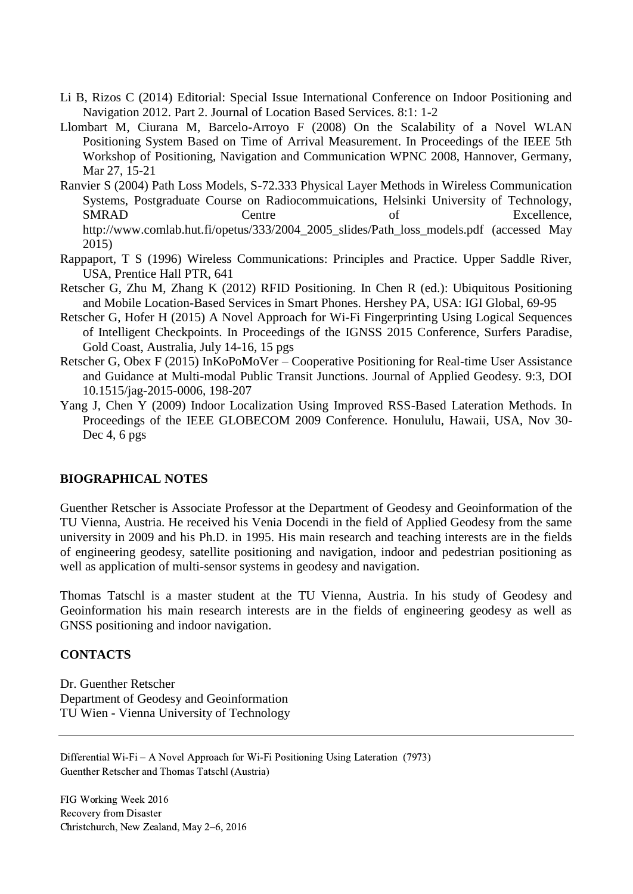- Li B, Rizos C (2014) Editorial: Special Issue International Conference on Indoor Positioning and Navigation 2012. Part 2. Journal of Location Based Services. 8:1: 1-2
- Llombart M, Ciurana M, Barcelo-Arroyo F (2008) On the Scalability of a Novel WLAN Positioning System Based on Time of Arrival Measurement. In Proceedings of the IEEE 5th Workshop of Positioning, Navigation and Communication WPNC 2008, Hannover, Germany, Mar 27, 15-21
- Ranvier S (2004) Path Loss Models, S-72.333 Physical Layer Methods in Wireless Communication Systems, Postgraduate Course on Radiocommuications, Helsinki University of Technology, SMRAD Centre of Excellence, http://www.comlab.hut.fi/opetus/333/2004\_2005\_slides/Path\_loss\_models.pdf (accessed May 2015)
- Rappaport, T S (1996) Wireless Communications: Principles and Practice. Upper Saddle River, USA, Prentice Hall PTR, 641
- Retscher G, Zhu M, Zhang K (2012) RFID Positioning. In Chen R (ed.): Ubiquitous Positioning and Mobile Location-Based Services in Smart Phones. Hershey PA, USA: IGI Global, 69-95
- Retscher G, Hofer H (2015) A Novel Approach for Wi-Fi Fingerprinting Using Logical Sequences of Intelligent Checkpoints. In Proceedings of the IGNSS 2015 Conference, Surfers Paradise, Gold Coast, Australia, July 14-16, 15 pgs
- Retscher G, Obex F (2015) InKoPoMoVer Cooperative Positioning for Real-time User Assistance and Guidance at Multi-modal Public Transit Junctions. Journal of Applied Geodesy. 9:3, DOI 10.1515/jag-2015-0006, 198-207
- Yang J, Chen Y (2009) Indoor Localization Using Improved RSS-Based Lateration Methods. In Proceedings of the IEEE GLOBECOM 2009 Conference. Honululu, Hawaii, USA, Nov 30- Dec 4, 6 pgs

#### **BIOGRAPHICAL NOTES**

Guenther Retscher is Associate Professor at the Department of Geodesy and Geoinformation of the TU Vienna, Austria. He received his Venia Docendi in the field of Applied Geodesy from the same university in 2009 and his Ph.D. in 1995. His main research and teaching interests are in the fields of engineering geodesy, satellite positioning and navigation, indoor and pedestrian positioning as well as application of multi-sensor systems in geodesy and navigation.

Thomas Tatschl is a master student at the TU Vienna, Austria. In his study of Geodesy and Geoinformation his main research interests are in the fields of engineering geodesy as well as GNSS positioning and indoor navigation.

#### **CONTACTS**

Dr. Guenther Retscher Department of Geodesy and Geoinformation TU Wien - Vienna University of Technology

Differential Wi-Fi – A Novel Approach for Wi-Fi Positioning Using Lateration (7973) Guenther Retscher and Thomas Tatschl (Austria)